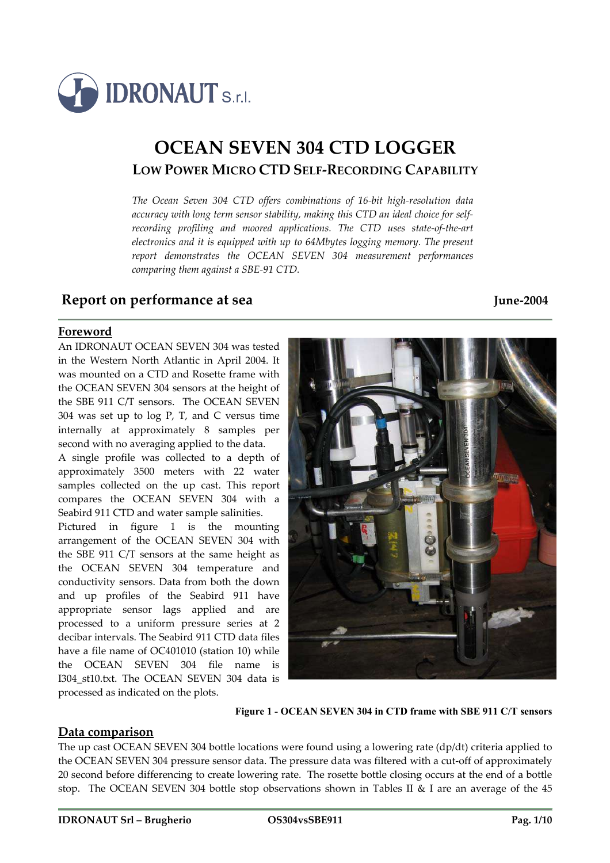

# **OCEAN SEVEN 304 CTD LOGGER LOW POWER MICRO CTD SELF-RECORDING CAPABILITY**

*The Ocean Seven 304 CTD offers combinations of 16-bit high-resolution data accuracy with long term sensor stability, making this CTD an ideal choice for selfrecording profiling and moored applications. The CTD uses state-of-the-art electronics and it is equipped with up to 64Mbytes logging memory. The present report demonstrates the OCEAN SEVEN 304 measurement performances comparing them against a SBE-91 CTD.* 

### **Report on performance at sea June-2004**

**Foreword**

An IDRONAUT OCEAN SEVEN 304 was tested in the Western North Atlantic in April 2004. It was mounted on a CTD and Rosette frame with the OCEAN SEVEN 304 sensors at the height of the SBE 911 C/T sensors. The OCEAN SEVEN 304 was set up to log P, T, and C versus time internally at approximately 8 samples per second with no averaging applied to the data.

A single profile was collected to a depth of approximately 3500 meters with 22 water samples collected on the up cast. This report compares the OCEAN SEVEN 304 with a Seabird 911 CTD and water sample salinities.

Pictured in figure 1 is the mounting arrangement of the OCEAN SEVEN 304 with the SBE 911 C/T sensors at the same height as the OCEAN SEVEN 304 temperature and conductivity sensors. Data from both the down and up profiles of the Seabird 911 have appropriate sensor lags applied and are processed to a uniform pressure series at 2 decibar intervals. The Seabird 911 CTD data files have a file name of OC401010 (station 10) while the OCEAN SEVEN 304 file name is I304\_st10.txt. The OCEAN SEVEN 304 data is processed as indicated on the plots.



**Figure 1 - OCEAN SEVEN 304 in CTD frame with SBE 911 C/T sensors** 

#### **Data comparison**

The up cast OCEAN SEVEN 304 bottle locations were found using a lowering rate (dp/dt) criteria applied to the OCEAN SEVEN 304 pressure sensor data. The pressure data was filtered with a cut-off of approximately 20 second before differencing to create lowering rate. The rosette bottle closing occurs at the end of a bottle stop. The OCEAN SEVEN 304 bottle stop observations shown in Tables II & I are an average of the 45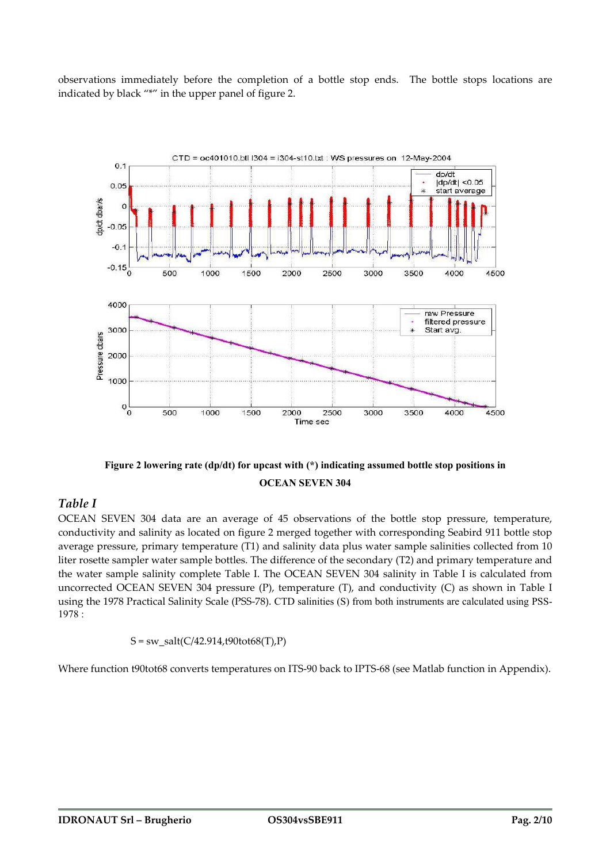observations immediately before the completion of a bottle stop ends. The bottle stops locations are indicated by black "\*" in the upper panel of figure 2.





#### *Table I*

OCEAN SEVEN 304 data are an average of 45 observations of the bottle stop pressure, temperature, conductivity and salinity as located on figure 2 merged together with corresponding Seabird 911 bottle stop average pressure, primary temperature (T1) and salinity data plus water sample salinities collected from 10 liter rosette sampler water sample bottles. The difference of the secondary (T2) and primary temperature and the water sample salinity complete Table I. The OCEAN SEVEN 304 salinity in Table I is calculated from uncorrected OCEAN SEVEN 304 pressure (P), temperature (T), and conductivity (C) as shown in Table I using the 1978 Practical Salinity Scale (PSS-78). CTD salinities (S) from both instruments are calculated using PSS-1978 :

$$
S = sw\_salt(C/42.914, t90tot68(T), P)
$$

Where function t90tot68 converts temperatures on ITS-90 back to IPTS-68 (see Matlab function in Appendix).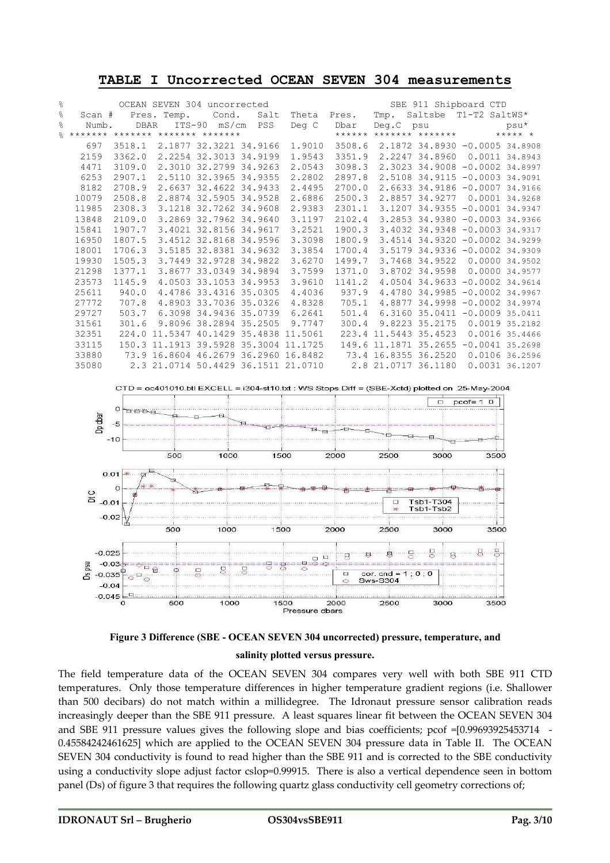| ᆂᇋᆈᆈ<br>ONCOLLECTED OCEAN DEVEN JOY MEASULEMENTS |                                                      |        |  |                                       |      |        |        |                     |                                       |  |                |
|--------------------------------------------------|------------------------------------------------------|--------|--|---------------------------------------|------|--------|--------|---------------------|---------------------------------------|--|----------------|
| g.                                               | OCEAN SEVEN 304 uncorrected<br>SBE 911 Shipboard CTD |        |  |                                       |      |        |        |                     |                                       |  |                |
| 옹                                                | Scan #                                               |        |  | Pres. Temp. Cond.                     | Salt | Theta  | Pres.  | Tmp.                | Saltsbe T1-T2 SaltWS*                 |  |                |
| $\approx$                                        | Numb.                                                | DBAR   |  | ITS-90 mS/cm PSS                      |      | Deg C  | Dbar   |                     | Deg.C psu                             |  | psu*           |
| $\approx$                                        |                                                      |        |  | ******* ******* ******* *******       |      |        |        |                     | ****** ******* ******* ****** *       |  |                |
|                                                  | 697                                                  | 3518.1 |  | 2.1877 32.3221 34.9166                |      | 1.9010 | 3508.6 |                     | 2.1872 34.8930 -0.0005 34.8908        |  |                |
|                                                  | 2159                                                 | 3362.0 |  | 2.2254 32.3013 34.9199                |      | 1.9543 | 3351.9 |                     | 2.2247 34.8960 0.0011 34.8943         |  |                |
|                                                  | 4471                                                 | 3109.0 |  | 2.3010 32.2799 34.9263                |      | 2.0543 | 3098.3 |                     | 2.3023 34.9008 -0.0002 34.8997        |  |                |
|                                                  | 6253                                                 | 2907.1 |  | 2.5110 32.3965 34.9355                |      | 2.2802 | 2897.8 |                     | 2.5108 34.9115 -0.0003 34.9091        |  |                |
|                                                  | 8182                                                 | 2708.9 |  | 2.6637 32.4622 34.9433                |      | 2.4495 | 2700.0 |                     | 2.6633 34.9186 -0.0007 34.9166        |  |                |
|                                                  | 10079                                                | 2508.8 |  | 2.8874 32.5905 34.9528                |      | 2.6886 | 2500.3 |                     | 2.8857 34.9277                        |  | 0.0001 34.9268 |
|                                                  | 11985                                                | 2308.3 |  | 3.1218 32.7262 34.9608                |      | 2.9383 | 2301.1 |                     | 3.1207 34.9355 -0.0001 34.9347        |  |                |
|                                                  | 13848                                                | 2109.0 |  | 3.2869 32.7962 34.9640                |      | 3.1197 | 2102.4 |                     | 3.2853 34.9380 -0.0003 34.9366        |  |                |
|                                                  | 15841                                                | 1907.7 |  | 3.4021 32.8156 34.9617                |      | 3.2521 | 1900.3 |                     | 3.4032 34.9348 -0.0003 34.9317        |  |                |
|                                                  | 16950                                                | 1807.5 |  | 3.4512 32.8168 34.9596                |      | 3.3098 | 1800.9 |                     | 3.4514 34.9320 -0.0002 34.9299        |  |                |
|                                                  | 18001                                                | 1706.3 |  | 3.5185 32.8381 34.9632                |      | 3.3854 | 1700.4 |                     | 3.5179 34.9336 -0.0002 34.9309        |  |                |
|                                                  | 19930                                                | 1505.3 |  | 3.7449 32.9728 34.9822                |      | 3.6270 | 1499.7 |                     | 3.7468 34.9522 0.0000 34.9502         |  |                |
|                                                  | 21298                                                | 1377.1 |  | 3.8677 33.0349 34.9894                |      | 3.7599 | 1371.0 |                     | 3.8702 34.9598                        |  | 0.0000 34.9577 |
|                                                  | 23573                                                | 1145.9 |  | 4.0503 33.1053 34.9953                |      | 3.9610 | 1141.2 |                     | 4.0504 34.9633 -0.0002 34.9614        |  |                |
|                                                  | 25611                                                | 940.0  |  | 4.4786 33.4316 35.0305                |      | 4.4036 | 937.9  |                     | 4.4780 34.9985 -0.0002 34.9967        |  |                |
|                                                  | 27772                                                | 707.8  |  | 4.8903 33.7036 35.0326                |      | 4.8328 | 705.1  |                     | 4.8877 34.9998 -0.0002 34.9974        |  |                |
|                                                  | 29727                                                | 503.7  |  | 6.3098 34.9436 35.0739                |      | 6.2641 | 501.4  |                     | 6.3160 35.0411 -0.0009 35.0411        |  |                |
|                                                  | 31561                                                | 301.6  |  | 9.8096 38.2894 35.2505                |      | 9.7747 | 300.4  |                     | 9.8223 35.2175 0.0019 35.2182         |  |                |
|                                                  | 32351                                                |        |  | 224.0 11.5347 40.1429 35.4838 11.5061 |      |        |        |                     | 223.4 11.5443 35.4523                 |  | 0.0016 35.4466 |
|                                                  | 33115                                                |        |  | 150.3 11.1913 39.5928 35.3004 11.1725 |      |        |        |                     | 149.6 11.1871 35.2655 -0.0041 35.2698 |  |                |
|                                                  | 33880                                                |        |  | 73.9 16.8604 46.2679 36.2960 16.8482  |      |        |        |                     | 73.4 16.8355 36.2520 0.0106 36.2596   |  |                |
|                                                  | 35080                                                |        |  | 2.3 21.0714 50.4429 36.1511 21.0710   |      |        |        | 2.8 21.0717 36.1180 |                                       |  | 0.0031 36.1207 |

#### **TABLE I Uncorrected OCEAN SEVEN 304 measurements**





The field temperature data of the OCEAN SEVEN 304 compares very well with both SBE 911 CTD temperatures. Only those temperature differences in higher temperature gradient regions (i.e. Shallower than 500 decibars) do not match within a millidegree. The Idronaut pressure sensor calibration reads increasingly deeper than the SBE 911 pressure. A least squares linear fit between the OCEAN SEVEN 304 and SBE 911 pressure values gives the following slope and bias coefficients; pcof =[0.99693925453714 - 0.45584242461625] which are applied to the OCEAN SEVEN 304 pressure data in Table II. The OCEAN SEVEN 304 conductivity is found to read higher than the SBE 911 and is corrected to the SBE conductivity using a conductivity slope adjust factor cslop=0.99915. There is also a vertical dependence seen in bottom panel (Ds) of figure 3 that requires the following quartz glass conductivity cell geometry corrections of;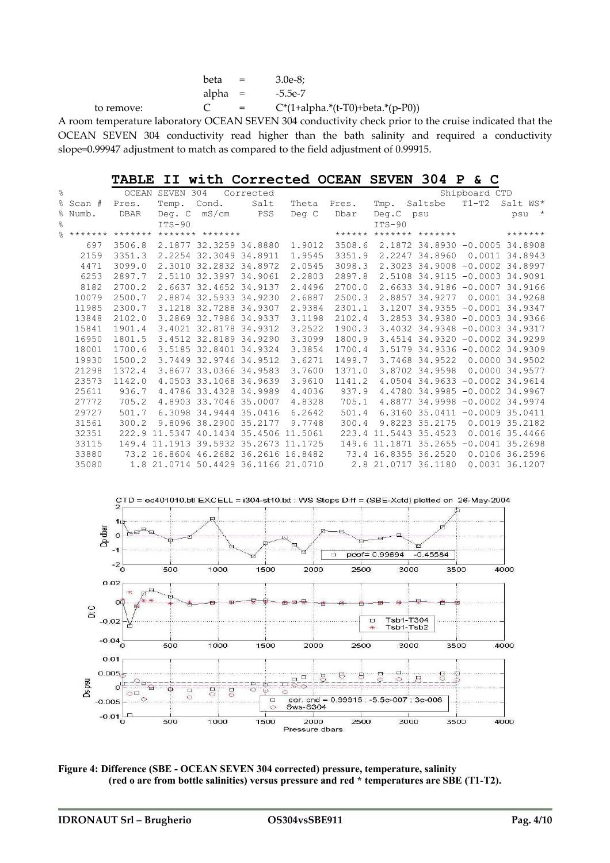|            | beta      | $\mathbf{r} = \mathbf{r}$ | 3.0e-8:                             |
|------------|-----------|---------------------------|-------------------------------------|
|            | alpha $=$ |                           | -5.5e-7                             |
| to remove: |           | $\mathbf{r} = \mathbf{r}$ | $C^*(1+alpha.*(t-T0)+beta.*(p-P0))$ |

A room temperature laboratory OCEAN SEVEN 304 conductivity check prior to the cruise indicated that the OCEAN SEVEN 304 conductivity read higher than the bath salinity and required a conductivity slope=0.99947 adjustment to match as compared to the field adjustment of 0.99915.

**TABLE II with Corrected OCEAN SEVEN 304 P & C**

| g      |          |             | OCEAN SEVEN 304 |                                       | Corrected |        |        |           |                                       | Shipboard CTD |                |
|--------|----------|-------------|-----------------|---------------------------------------|-----------|--------|--------|-----------|---------------------------------------|---------------|----------------|
|        | % Scan # | Pres.       | Temp. Cond.     |                                       | Salt      | Theta  | Pres.  | Tmp.      | Saltsbe                               | $T1-T2$       | Salt WS*       |
|        | % Numb.  | <b>DBAR</b> |                 | Deg. C mS/cm PSS                      |           | Deg C  | Dbar   | Deg.C psu |                                       |               | $\star$<br>psu |
| g<br>o |          |             | $ITS-90$        |                                       |           |        |        | $ITS-90$  |                                       |               |                |
| $\%$   |          |             |                 | ******* ******* ******* *******       |           |        |        |           | ****** ******* *******                |               | *******        |
|        | 697      | 3506.8      |                 | 2.1877 32.3259 34.8880                |           | 1,9012 | 3508.6 |           | 2.1872 34.8930 -0.0005 34.8908        |               |                |
|        | 2159     | 3351.3      |                 | 2.2254 32.3049 34.8911                |           | 1.9545 | 3351.9 |           | 2.2247 34.8960                        |               | 0.0011 34.8943 |
|        | 4471     | 3099.0      |                 | 2.3010 32.2832 34.8972                |           | 2.0545 | 3098.3 |           | 2.3023 34.9008 -0.0002 34.8997        |               |                |
|        | 6253     | 2897.7      |                 | 2.5110 32.3997 34.9061                |           | 2.2803 | 2897.8 |           | 2.5108 34.9115 -0.0003 34.9091        |               |                |
|        | 8182     | 2700.2      |                 | 2.6637 32.4652 34.9137                |           | 2.4496 | 2700.0 |           | 2.6633 34.9186 -0.0007 34.9166        |               |                |
|        | 10079    | 2500.7      |                 | 2.8874 32.5933 34.9230                |           | 2.6887 | 2500.3 |           | 2.8857 34.9277                        |               | 0.0001 34.9268 |
|        | 11985    | 2300.7      |                 | 3.1218 32.7288 34.9307                |           | 2.9384 | 2301.1 |           | 3.1207 34.9355 -0.0001 34.9347        |               |                |
|        | 13848    | 2102.0      |                 | 3.2869 32.7986 34.9337                |           | 3.1198 | 2102.4 |           | 3.2853 34.9380 -0.0003 34.9366        |               |                |
|        | 15841    | 1901.4      |                 | 3.4021 32.8178 34.9312                |           | 3.2522 | 1900.3 |           | 3.4032 34.9348 -0.0003 34.9317        |               |                |
|        | 16950    | 1801.5      |                 | 3.4512 32.8189 34.9290                |           | 3.3099 | 1800.9 |           | 3.4514 34.9320 -0.0002 34.9299        |               |                |
|        | 18001    | 1700.6      |                 | 3.5185 32.8401 34.9324                |           | 3.3854 | 1700.4 |           | 3.5179 34.9336 -0.0002 34.9309        |               |                |
|        | 19930    | 1500.2      |                 | 3.7449 32.9746 34.9512                |           | 3.6271 | 1499.7 |           | 3.7468 34.9522                        |               | 0.0000 34.9502 |
|        | 21298    | 1372.4      |                 | 3.8677 33.0366 34.9583                |           | 3.7600 | 1371.0 |           | 3.8702 34.9598                        |               | 0.0000 34.9577 |
|        | 23573    | 1142.0      |                 | 4.0503 33.1068 34.9639                |           | 3.9610 | 1141.2 |           | 4.0504 34.9633 -0.0002 34.9614        |               |                |
|        | 25611    | 936.7       |                 | 4.4786 33.4328 34.9989                |           | 4.4036 | 937.9  |           | 4.4780 34.9985 -0.0002 34.9967        |               |                |
|        | 27772    | 705.2       |                 | 4.8903 33.7046 35.0007                |           | 4.8328 | 705.1  |           | 4.8877 34.9998 -0.0002 34.9974        |               |                |
|        | 29727    | 501.7       |                 | 6.3098 34.9444 35.0416                |           | 6.2642 | 501.4  |           | 6.3160 35.0411 -0.0009 35.0411        |               |                |
|        | 31561    | 300.2       |                 | 9.8096 38.2900 35.2177                |           | 9.7748 | 300.4  |           | 9.8223 35.2175                        |               | 0.0019 35.2182 |
|        | 32351    |             |                 | 222.9 11.5347 40.1434 35.4506 11.5061 |           |        |        |           | 223.4 11.5443 35.4523                 |               | 0.0016 35.4466 |
|        | 33115    |             |                 | 149.4 11.1913 39.5932 35.2673 11.1725 |           |        |        |           | 149.6 11.1871 35.2655 -0.0041 35.2698 |               |                |
|        | 33880    |             |                 | 73.2 16.8604 46.2682 36.2616 16.8482  |           |        |        |           | 73.4 16.8355 36.2520                  |               | 0.0106 36.2596 |
|        | 35080    |             |                 | 1.8 21.0714 50.4429 36.1166 21.0710   |           |        |        |           | 2.8 21.0717 36.1180                   |               | 0.0031 36.1207 |



**Figure 4: Difference (SBE - OCEAN SEVEN 304 corrected) pressure, temperature, salinity (red o are from bottle salinities) versus pressure and red \* temperatures are SBE (T1-T2).**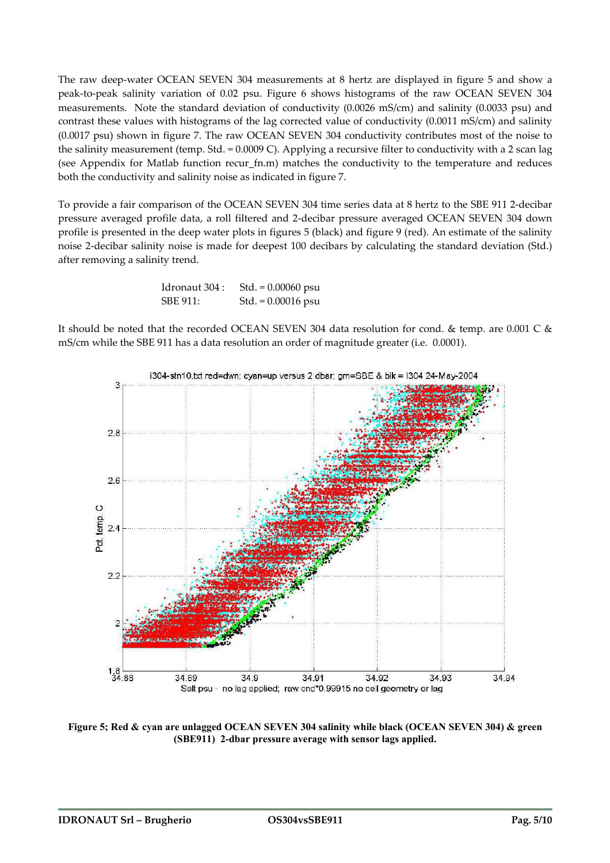The raw deep-water OCEAN SEVEN 304 measurements at 8 hertz are displayed in figure 5 and show a peak-to-peak salinity variation of 0.02 psu. Figure 6 shows histograms of the raw OCEAN SEVEN 304 measurements. Note the standard deviation of conductivity (0.0026 mS/cm) and salinity (0.0033 psu) and contrast these values with histograms of the lag corrected value of conductivity (0.0011 mS/cm) and salinity (0.0017 psu) shown in figure 7. The raw OCEAN SEVEN 304 conductivity contributes most of the noise to the salinity measurement (temp. Std. = 0.0009 C). Applying a recursive filter to conductivity with a 2 scan lag (see Appendix for Matlab function recur\_fn.m) matches the conductivity to the temperature and reduces both the conductivity and salinity noise as indicated in figure 7.

To provide a fair comparison of the OCEAN SEVEN 304 time series data at 8 hertz to the SBE 911 2-decibar pressure averaged profile data, a roll filtered and 2-decibar pressure averaged OCEAN SEVEN 304 down profile is presented in the deep water plots in figures 5 (black) and figure 9 (red). An estimate of the salinity noise 2-decibar salinity noise is made for deepest 100 decibars by calculating the standard deviation (Std.) after removing a salinity trend.

> Idronaut 304 : Std. = 0.00060 psu SBE 911: Std. = 0.00016 psu

It should be noted that the recorded OCEAN SEVEN 304 data resolution for cond. & temp. are 0.001 C & mS/cm while the SBE 911 has a data resolution an order of magnitude greater (i.e. 0.0001).



**Figure 5; Red & cyan are unlagged OCEAN SEVEN 304 salinity while black (OCEAN SEVEN 304) & green (SBE911) 2-dbar pressure average with sensor lags applied.**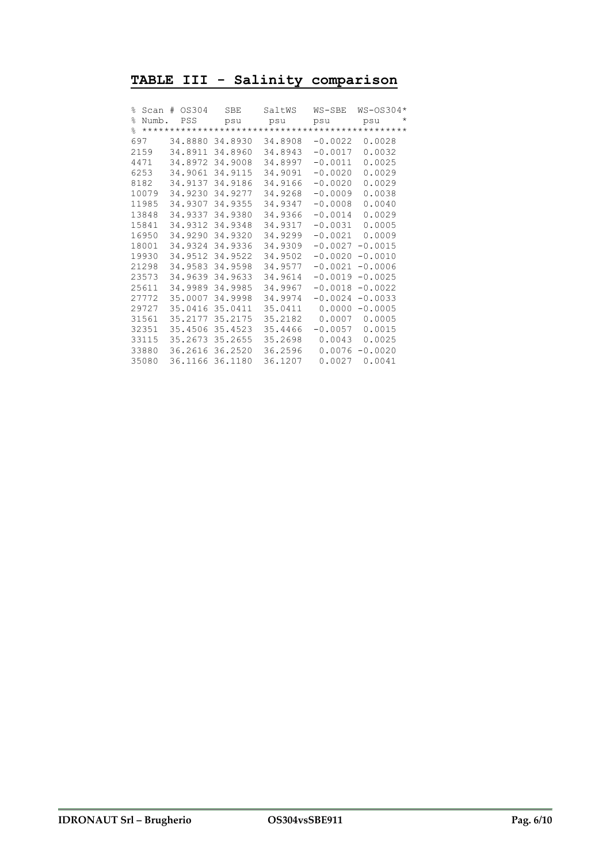### **TABLE III - Salinity comparison**

| ⊱              | Scan  | OS304<br>$+$ | <b>SBE</b> | SaltWS  | WS-SBE    | WS-0S304*       |
|----------------|-------|--------------|------------|---------|-----------|-----------------|
| $\frac{6}{10}$ | Numb. | PSS          | psu        | psu     | psu       | $^\star$<br>psu |
| $\approx$      |       |              |            |         |           |                 |
| 697            |       | 34.8880      | 34.8930    | 34.8908 | $-0.0022$ | 0.0028          |
|                | 2159  | 34.8911      | 34.8960    | 34.8943 | $-0.0017$ | 0.0032          |
|                | 4471  | 34.8972      | 34.9008    | 34.8997 | $-0.0011$ | 0.0025          |
|                | 6253  | 34.9061      | 34.9115    | 34.9091 | $-0.0020$ | 0.0029          |
|                | 8182  | 34.9137      | 34.9186    | 34.9166 | $-0.0020$ | 0.0029          |
|                | 10079 | 34.9230      | 34.9277    | 34.9268 | $-0.0009$ | 0.0038          |
|                | 11985 | 34.9307      | 34.9355    | 34.9347 | $-0.0008$ | 0.0040          |
|                | 13848 | 34.9337      | 34.9380    | 34.9366 | $-0.0014$ | 0.0029          |
|                | 15841 | 34.9312      | 34.9348    | 34.9317 | $-0.0031$ | 0.0005          |
|                | 16950 | 34.9290      | 34.9320    | 34.9299 | $-0.0021$ | 0.0009          |
|                | 18001 | 34.9324      | 34.9336    | 34.9309 | $-0.0027$ | $-0.0015$       |
|                | 19930 | 34.9512      | 34.9522    | 34.9502 | $-0.0020$ | $-0.0010$       |
|                | 21298 | 34.9583      | 34.9598    | 34.9577 | $-0.0021$ | $-0.0006$       |
|                | 23573 | 34.9639      | 34.9633    | 34.9614 | $-0.0019$ | $-0.0025$       |
|                | 25611 | 34.9989      | 34.9985    | 34.9967 | $-0.0018$ | $-0.0022$       |
|                | 27772 | 35.0007      | 34.9998    | 34.9974 | $-0.0024$ | $-0.0033$       |
|                | 29727 | 35.0416      | 35.0411    | 35.0411 | 0.0000    | $-0.0005$       |
|                | 31561 | 35.2177      | 35.2175    | 35.2182 | 0.0007    | 0.0005          |
|                | 32351 | 35.4506      | 35.4523    | 35.4466 | $-0.0057$ | 0.0015          |
|                | 33115 | 35.2673      | 35.2655    | 35.2698 | 0.0043    | 0.0025          |
|                | 33880 | 36.2616      | 36.2520    | 36.2596 | 0.0076    | $-0.0020$       |
|                | 35080 | 36.1166      | 36.1180    | 36.1207 | 0.0027    | 0.0041          |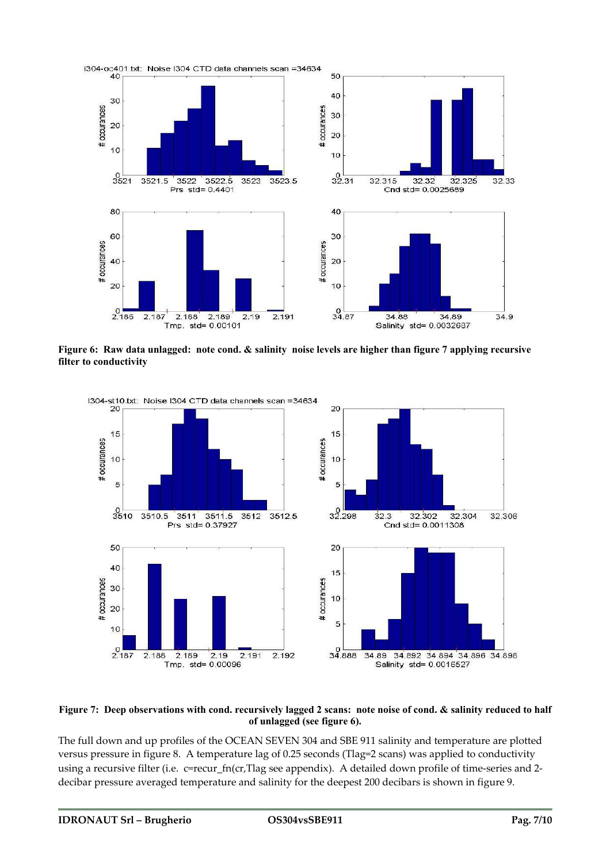

**Figure 6: Raw data unlagged: note cond. & salinity noise levels are higher than figure 7 applying recursive filter to conductivity**



#### **Figure 7: Deep observations with cond. recursively lagged 2 scans: note noise of cond. & salinity reduced to half of unlagged (see figure 6).**

The full down and up profiles of the OCEAN SEVEN 304 and SBE 911 salinity and temperature are plotted versus pressure in figure 8. A temperature lag of 0.25 seconds (Tlag=2 scans) was applied to conductivity using a recursive filter (i.e. c=recur\_fn(cr,Tlag see appendix). A detailed down profile of time-series and 2decibar pressure averaged temperature and salinity for the deepest 200 decibars is shown in figure 9.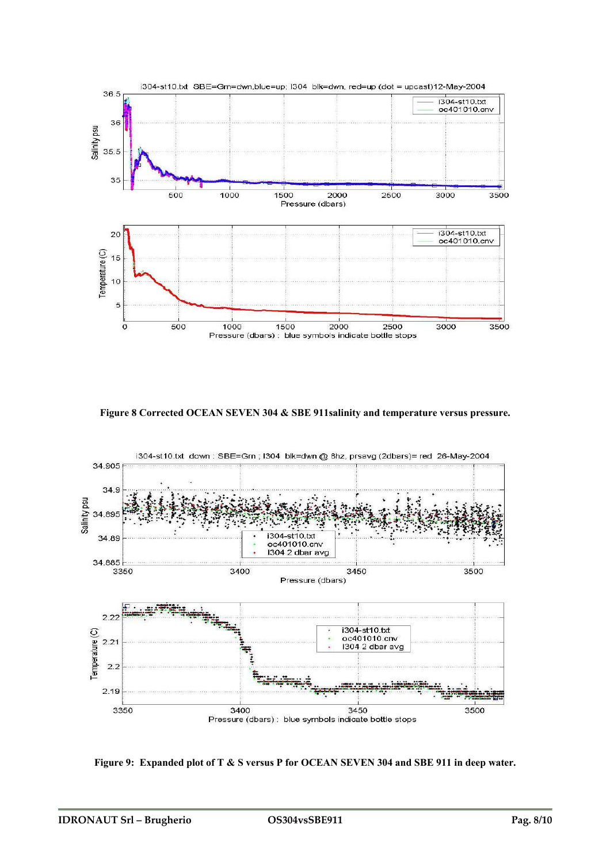

**Figure 8 Corrected OCEAN SEVEN 304 & SBE 911salinity and temperature versus pressure.** 



**Figure 9: Expanded plot of T & S versus P for OCEAN SEVEN 304 and SBE 911 in deep water.**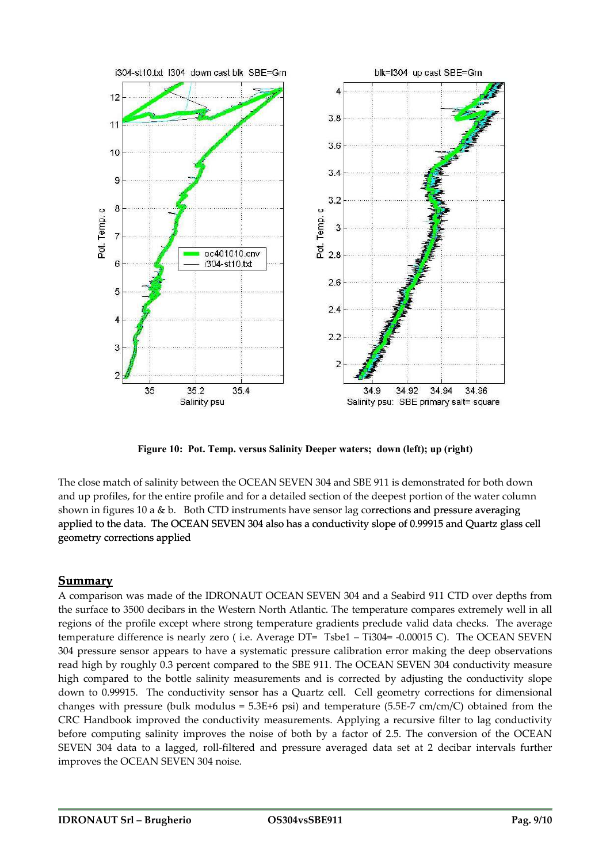

**Figure 10: Pot. Temp. versus Salinity Deeper waters; down (left); up (right)** 

The close match of salinity between the OCEAN SEVEN 304 and SBE 911 is demonstrated for both down nd up profiles, for the entire profile and for a detailed section of the deepest portion of the water column a shown in figures 10 a & b. Both CTD instruments have sensor lag corrections and pressure averaging applied to the data. The OCEAN SEVEN 304 also has a conductivity slope of 0.99915 and Quartz glass cell geometry corrections applied

#### **Summary**

A comparison was made of the IDRONAUT OCEAN SEVEN 304 and a Seabird 911 CTD over depths from the surface to 3500 decibars in the Western North Atlantic. The temperature compares extremely well in all regions of the profile except where strong temperature gradients preclude valid data checks. The average temperature difference is nearly zero ( i.e. Average DT= Tsbe1 – Ti304= -0.00015 C). The OCEAN SEVEN 304 pressure sensor appears to have a systematic pressure calibration error making the deep observations read high by roughly 0.3 percent compared to the SBE 911. The OCEAN SEVEN 304 conductivity measure high compared to the bottle salinity measurements and is corrected by adjusting the conductivity slope down to 0.99915. The conductivity sensor has a Quartz cell. Cell geometry corrections for dimensional changes with pressure (bulk modulus =  $5.3E+6$  psi) and temperature ( $5.5E-7$  cm/cm/C) obtained from the CRC Handbook improved the conductivity measurements. Applying a recursive filter to lag conductivity before computing salinity improves the noise of both by a factor of 2.5. The conversion of the OCEAN SEVEN 304 data to a lagged, roll-filtered and pressure averaged data set at 2 decibar intervals further improves the OCEAN SEVEN 304 noise.